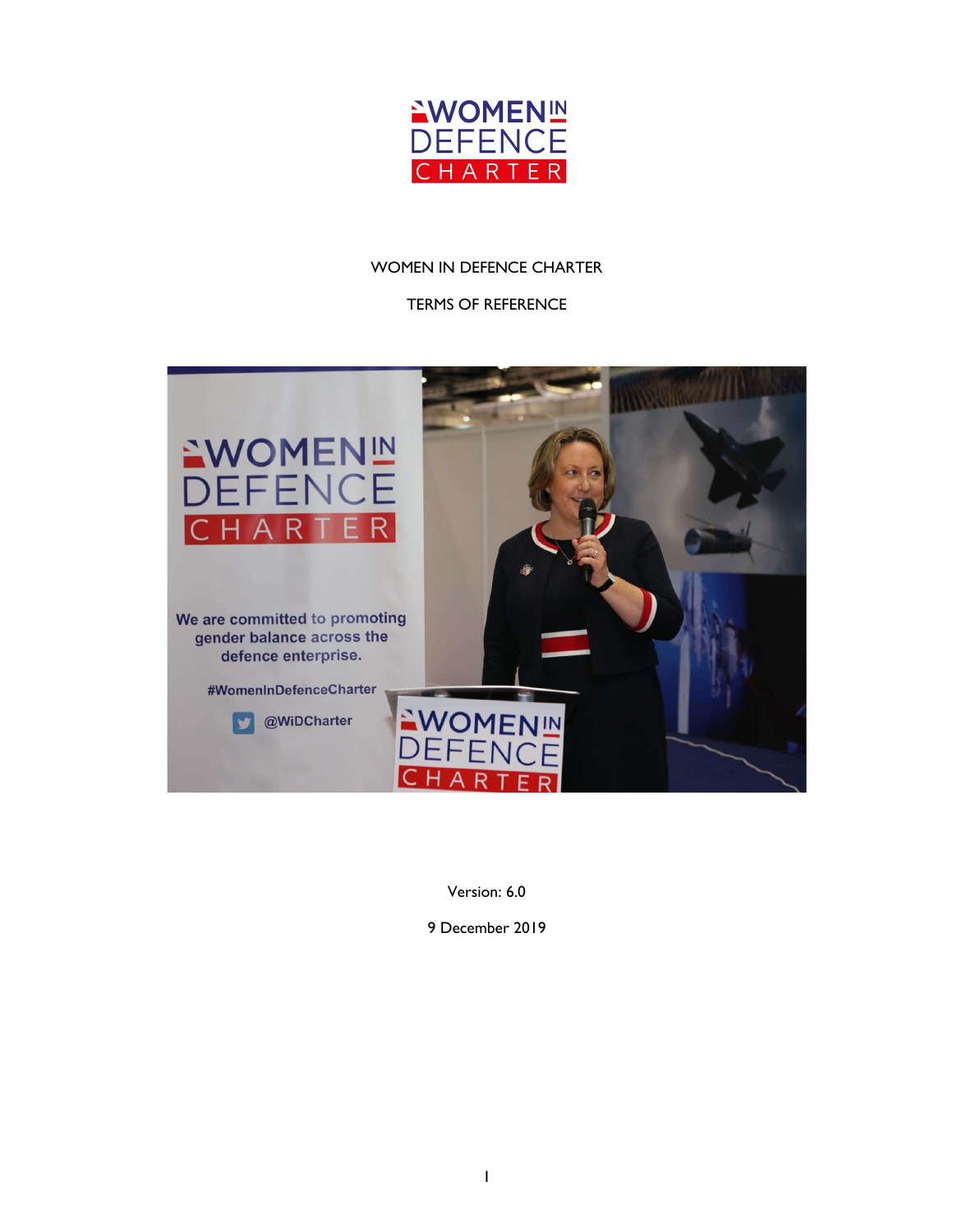

### WOMEN IN DEFENCE CHARTER

#### TERMS OF REFERENCE



Version: 6.0

9 December 2019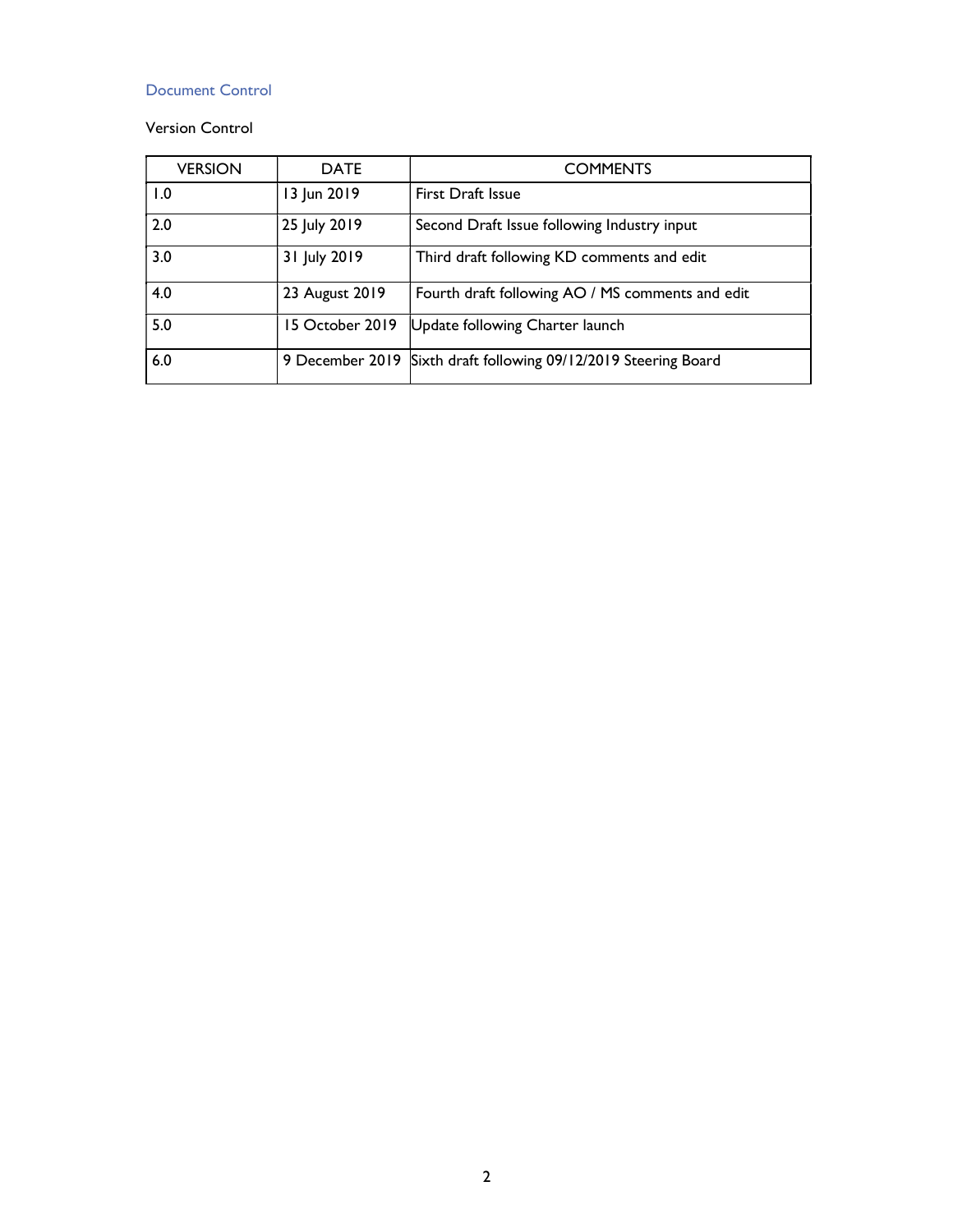### Document Control

### Version Control

| <b>VERSION</b> | <b>DATE</b>     | <b>COMMENTS</b>                                                 |
|----------------|-----------------|-----------------------------------------------------------------|
| 1.0            | 13 Jun 2019     | <b>First Draft Issue</b>                                        |
| 2.0            | 25 July 2019    | Second Draft Issue following Industry input                     |
| 3.0            | 31 July 2019    | Third draft following KD comments and edit                      |
| 4.0            | 23 August 2019  | Fourth draft following AO / MS comments and edit                |
| 5.0            | 15 October 2019 | Update following Charter launch                                 |
| 6.0            |                 | 9 December 2019 Sixth draft following 09/12/2019 Steering Board |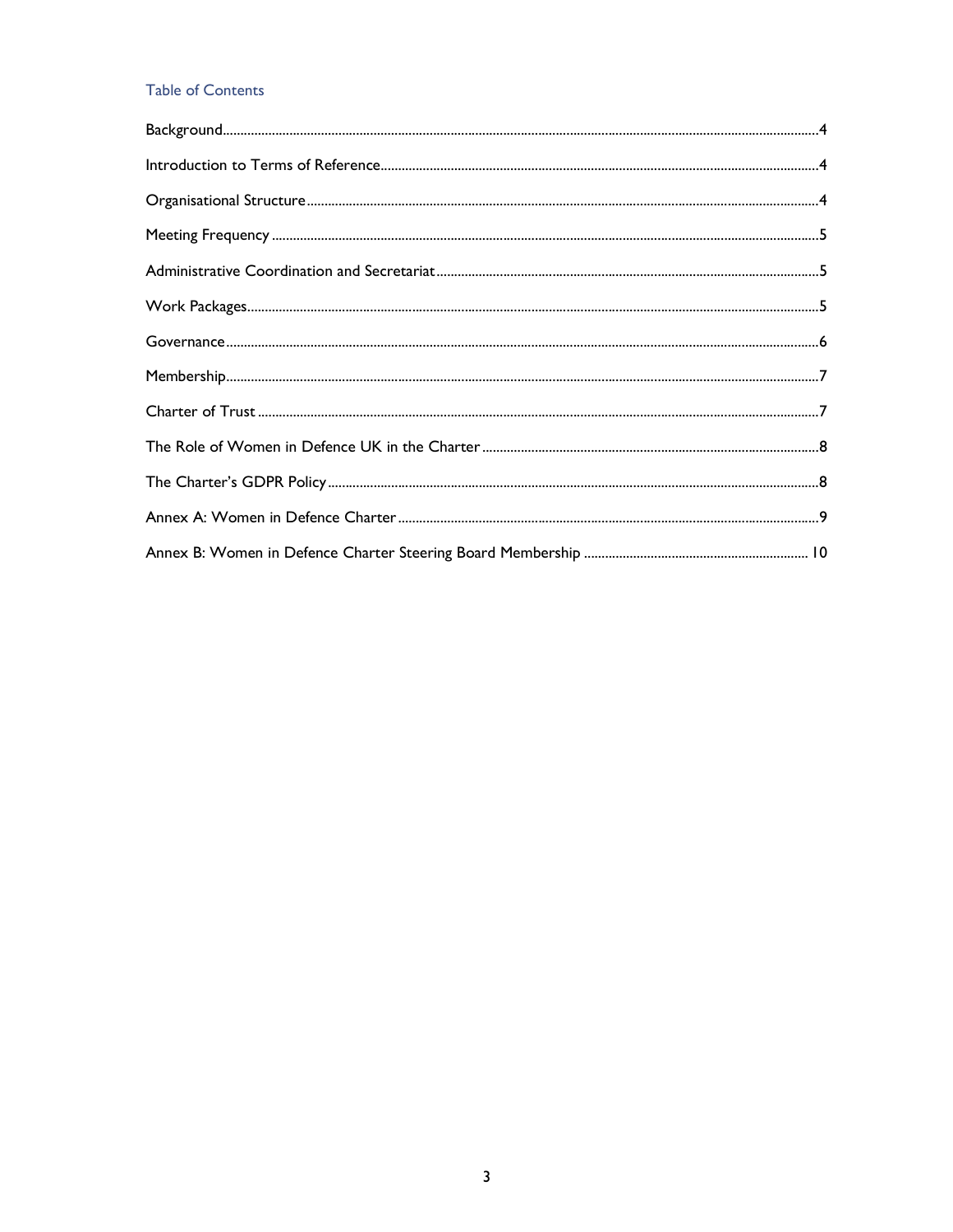# Table of Contents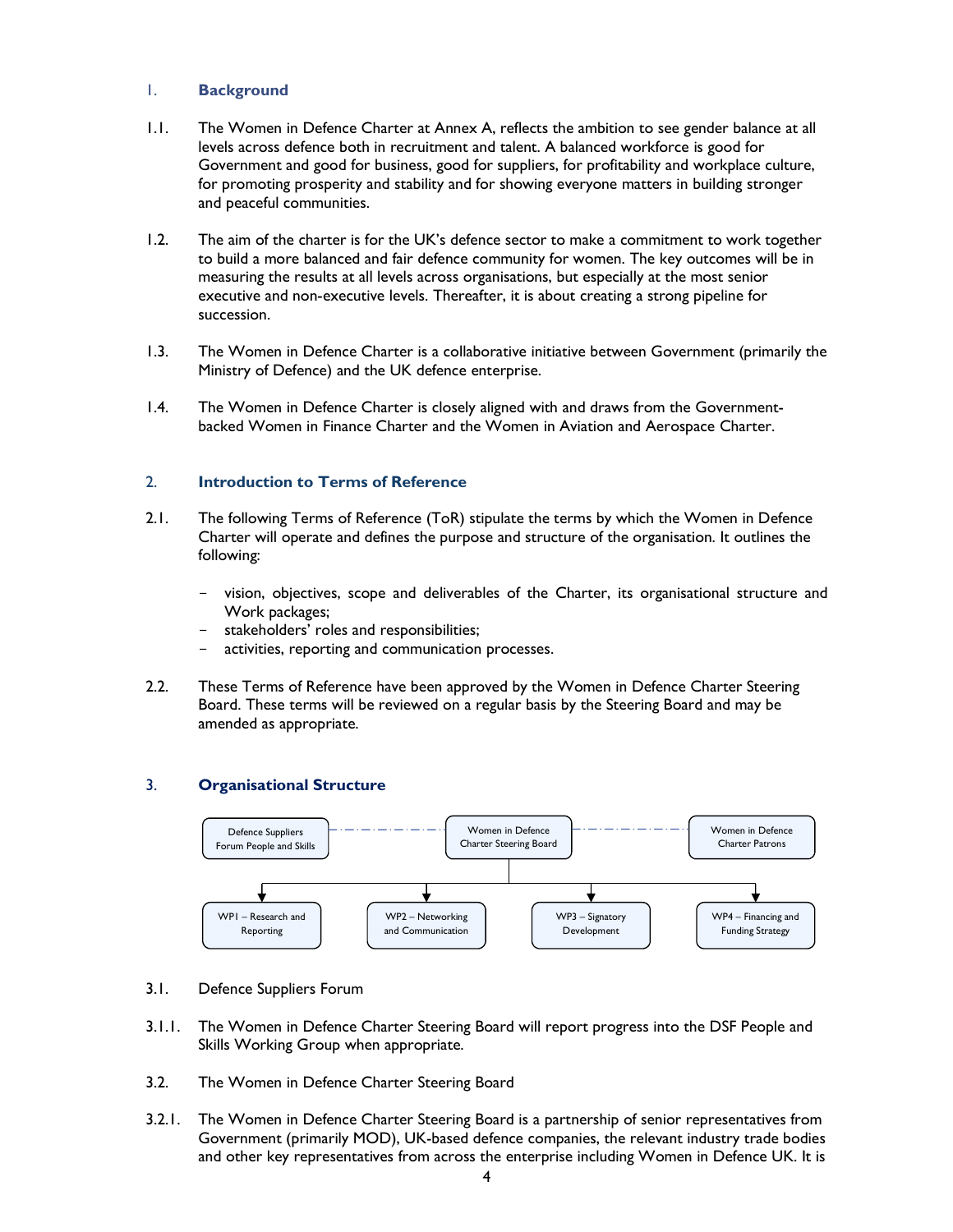### 1. Background

- 1.1. The Women in Defence Charter at Annex A, reflects the ambition to see gender balance at all levels across defence both in recruitment and talent. A balanced workforce is good for Government and good for business, good for suppliers, for profitability and workplace culture, for promoting prosperity and stability and for showing everyone matters in building stronger and peaceful communities.
- 1.2. The aim of the charter is for the UK's defence sector to make a commitment to work together to build a more balanced and fair defence community for women. The key outcomes will be in measuring the results at all levels across organisations, but especially at the most senior executive and non-executive levels. Thereafter, it is about creating a strong pipeline for succession.
- 1.3. The Women in Defence Charter is a collaborative initiative between Government (primarily the Ministry of Defence) and the UK defence enterprise.
- 1.4. The Women in Defence Charter is closely aligned with and draws from the Governmentbacked Women in Finance Charter and the Women in Aviation and Aerospace Charter.

### 2. Introduction to Terms of Reference

- 2.1. The following Terms of Reference (ToR) stipulate the terms by which the Women in Defence Charter will operate and defines the purpose and structure of the organisation. It outlines the following:
	- vision, objectives, scope and deliverables of the Charter, its organisational structure and Work packages;
	- stakeholders' roles and responsibilities;
	- activities, reporting and communication processes.
- 2.2. These Terms of Reference have been approved by the Women in Defence Charter Steering Board. These terms will be reviewed on a regular basis by the Steering Board and may be amended as appropriate.

#### 3. Organisational Structure



- 3.1. Defence Suppliers Forum
- 3.1.1. The Women in Defence Charter Steering Board will report progress into the DSF People and Skills Working Group when appropriate.
- 3.2. The Women in Defence Charter Steering Board
- 3.2.1. The Women in Defence Charter Steering Board is a partnership of senior representatives from Government (primarily MOD), UK-based defence companies, the relevant industry trade bodies and other key representatives from across the enterprise including Women in Defence UK. It is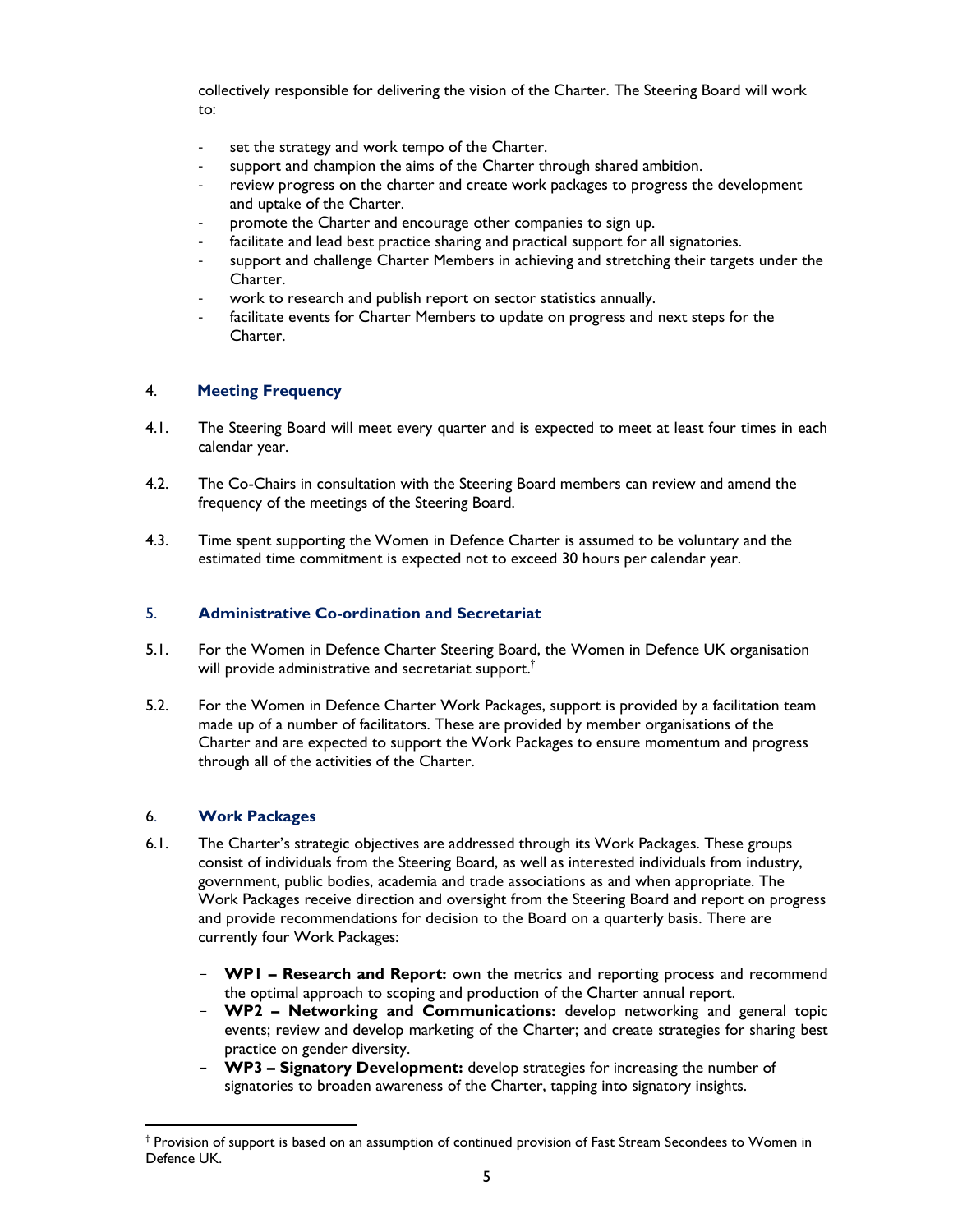collectively responsible for delivering the vision of the Charter. The Steering Board will work to:

- set the strategy and work tempo of the Charter.
- support and champion the aims of the Charter through shared ambition.
- review progress on the charter and create work packages to progress the development and uptake of the Charter.
- promote the Charter and encourage other companies to sign up.
- facilitate and lead best practice sharing and practical support for all signatories.
- support and challenge Charter Members in achieving and stretching their targets under the Charter.
- work to research and publish report on sector statistics annually.
- facilitate events for Charter Members to update on progress and next steps for the Charter.

### 4. Meeting Frequency

- 4.1. The Steering Board will meet every quarter and is expected to meet at least four times in each calendar year.
- 4.2. The Co-Chairs in consultation with the Steering Board members can review and amend the frequency of the meetings of the Steering Board.
- 4.3. Time spent supporting the Women in Defence Charter is assumed to be voluntary and the estimated time commitment is expected not to exceed 30 hours per calendar year.

#### 5. Administrative Co-ordination and Secretariat

- 5.1. For the Women in Defence Charter Steering Board, the Women in Defence UK organisation will provide administrative and secretariat support.<sup>†</sup>
- 5.2. For the Women in Defence Charter Work Packages, support is provided by a facilitation team made up of a number of facilitators. These are provided by member organisations of the Charter and are expected to support the Work Packages to ensure momentum and progress through all of the activities of the Charter.

### 6. Work Packages

1

- 6.1. The Charter's strategic objectives are addressed through its Work Packages. These groups consist of individuals from the Steering Board, as well as interested individuals from industry, government, public bodies, academia and trade associations as and when appropriate. The Work Packages receive direction and oversight from the Steering Board and report on progress and provide recommendations for decision to the Board on a quarterly basis. There are currently four Work Packages:
	- **WP1 Research and Report:** own the metrics and reporting process and recommend the optimal approach to scoping and production of the Charter annual report.
	- WP2 Networking and Communications: develop networking and general topic events; review and develop marketing of the Charter; and create strategies for sharing best practice on gender diversity.
	- WP3 Signatory Development: develop strategies for increasing the number of signatories to broaden awareness of the Charter, tapping into signatory insights.

<sup>†</sup> Provision of support is based on an assumption of continued provision of Fast Stream Secondees to Women in Defence UK.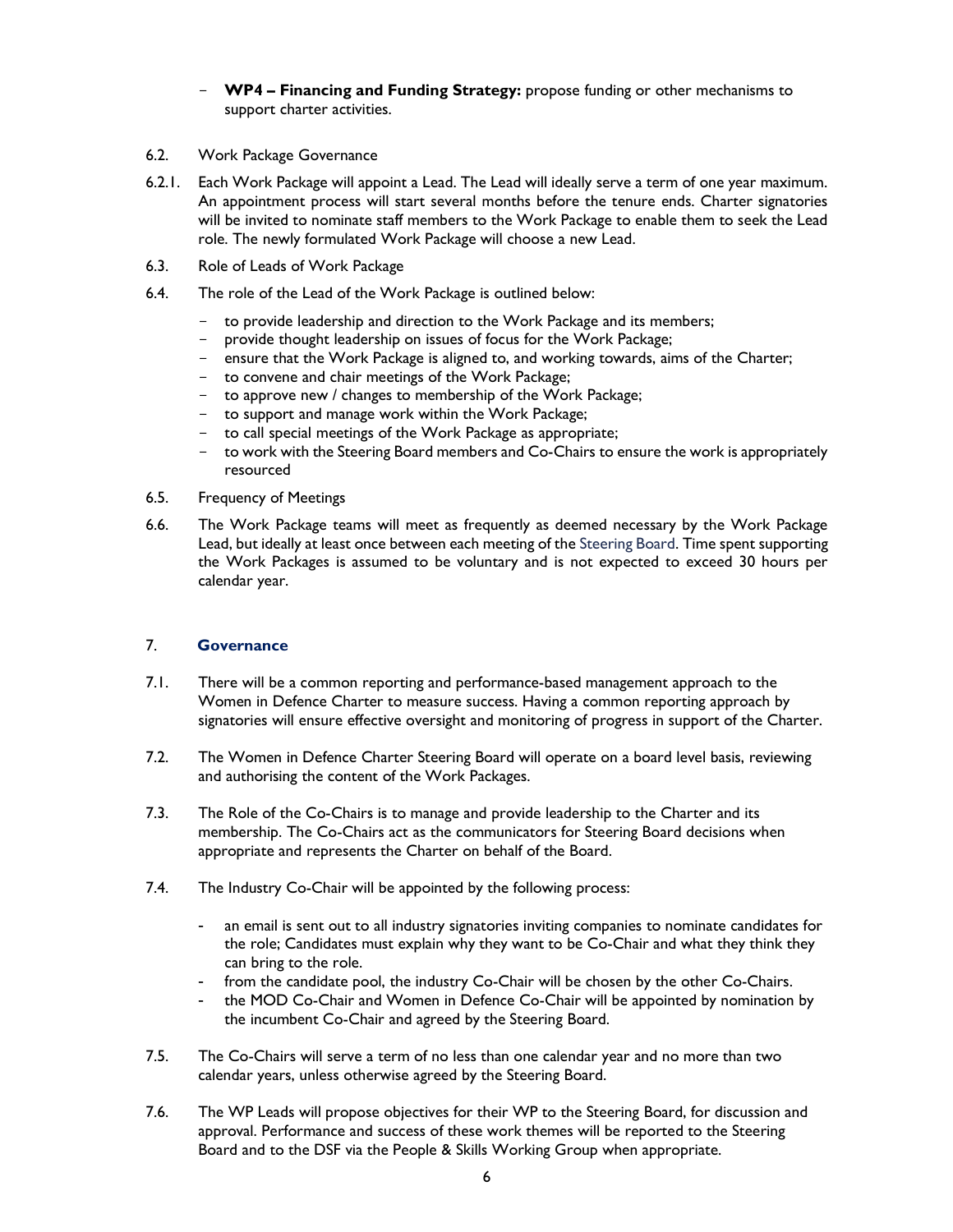- WP4 Financing and Funding Strategy: propose funding or other mechanisms to support charter activities.
- 6.2. Work Package Governance
- 6.2.1. Each Work Package will appoint a Lead. The Lead will ideally serve a term of one year maximum. An appointment process will start several months before the tenure ends. Charter signatories will be invited to nominate staff members to the Work Package to enable them to seek the Lead role. The newly formulated Work Package will choose a new Lead.
- 6.3. Role of Leads of Work Package
- 6.4. The role of the Lead of the Work Package is outlined below:
	- to provide leadership and direction to the Work Package and its members;
	- provide thought leadership on issues of focus for the Work Package;
	- ensure that the Work Package is aligned to, and working towards, aims of the Charter;
	- to convene and chair meetings of the Work Package;
	- to approve new / changes to membership of the Work Package;
	- to support and manage work within the Work Package;
	- to call special meetings of the Work Package as appropriate;
	- to work with the Steering Board members and Co-Chairs to ensure the work is appropriately resourced
- 6.5. Frequency of Meetings
- 6.6. The Work Package teams will meet as frequently as deemed necessary by the Work Package Lead, but ideally at least once between each meeting of the Steering Board. Time spent supporting the Work Packages is assumed to be voluntary and is not expected to exceed 30 hours per calendar year.

### 7. Governance

- 7.1. There will be a common reporting and performance-based management approach to the Women in Defence Charter to measure success. Having a common reporting approach by signatories will ensure effective oversight and monitoring of progress in support of the Charter.
- 7.2. The Women in Defence Charter Steering Board will operate on a board level basis, reviewing and authorising the content of the Work Packages.
- 7.3. The Role of the Co-Chairs is to manage and provide leadership to the Charter and its membership. The Co-Chairs act as the communicators for Steering Board decisions when appropriate and represents the Charter on behalf of the Board.
- 7.4. The Industry Co-Chair will be appointed by the following process:
	- an email is sent out to all industry signatories inviting companies to nominate candidates for the role; Candidates must explain why they want to be Co-Chair and what they think they can bring to the role.
	- from the candidate pool, the industry Co-Chair will be chosen by the other Co-Chairs.
	- the MOD Co-Chair and Women in Defence Co-Chair will be appointed by nomination by the incumbent Co-Chair and agreed by the Steering Board.
- 7.5. The Co-Chairs will serve a term of no less than one calendar year and no more than two calendar years, unless otherwise agreed by the Steering Board.
- 7.6. The WP Leads will propose objectives for their WP to the Steering Board, for discussion and approval. Performance and success of these work themes will be reported to the Steering Board and to the DSF via the People & Skills Working Group when appropriate.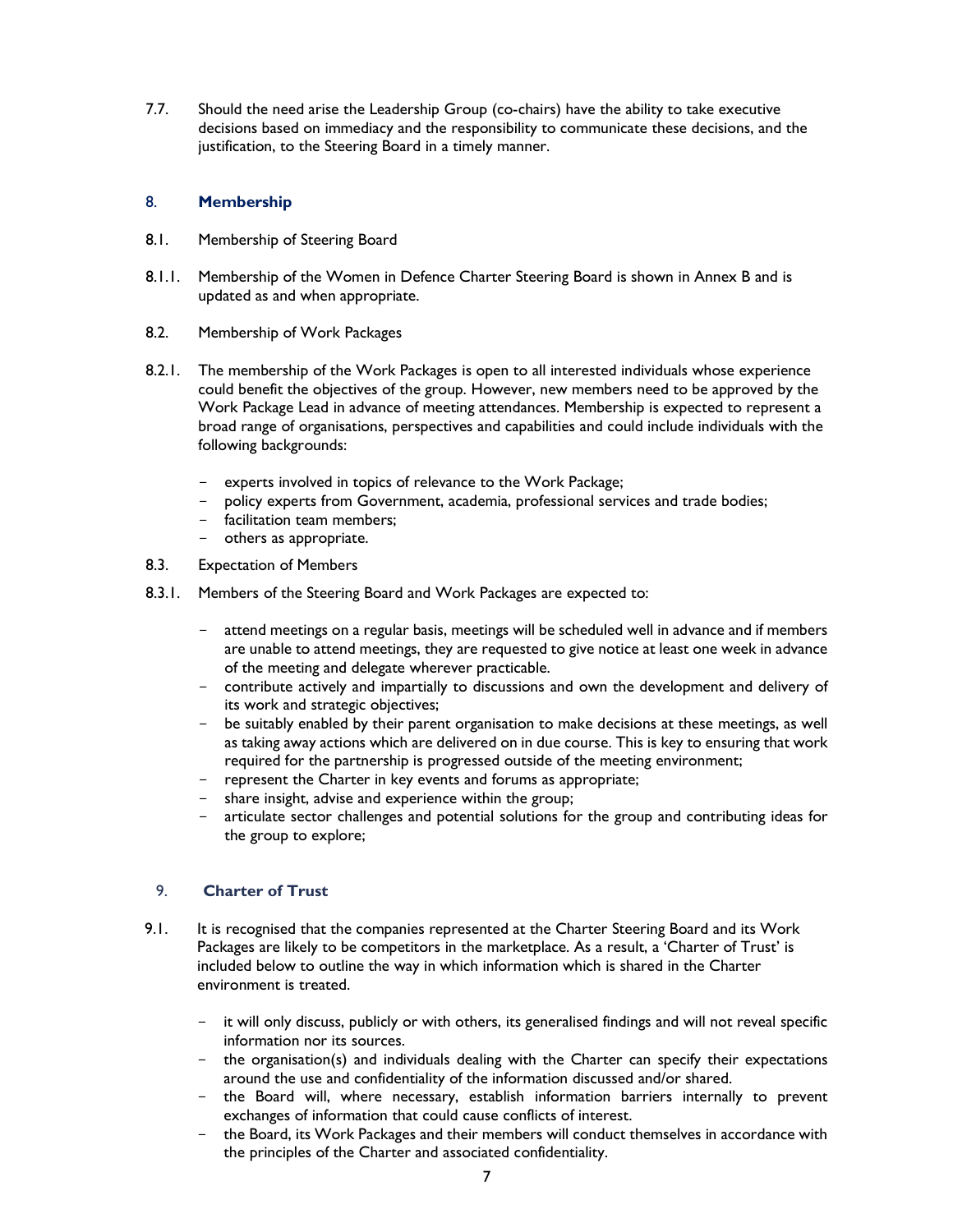7.7. Should the need arise the Leadership Group (co-chairs) have the ability to take executive decisions based on immediacy and the responsibility to communicate these decisions, and the justification, to the Steering Board in a timely manner.

### 8. Membership

- 8.1. Membership of Steering Board
- 8.1.1. Membership of the Women in Defence Charter Steering Board is shown in Annex B and is updated as and when appropriate.
- 8.2. Membership of Work Packages
- 8.2.1. The membership of the Work Packages is open to all interested individuals whose experience could benefit the objectives of the group. However, new members need to be approved by the Work Package Lead in advance of meeting attendances. Membership is expected to represent a broad range of organisations, perspectives and capabilities and could include individuals with the following backgrounds:
	- experts involved in topics of relevance to the Work Package;
	- policy experts from Government, academia, professional services and trade bodies;
	- facilitation team members;
	- others as appropriate.
- 8.3. Expectation of Members
- 8.3.1. Members of the Steering Board and Work Packages are expected to:
	- attend meetings on a regular basis, meetings will be scheduled well in advance and if members are unable to attend meetings, they are requested to give notice at least one week in advance of the meeting and delegate wherever practicable.
	- contribute actively and impartially to discussions and own the development and delivery of its work and strategic objectives;
	- be suitably enabled by their parent organisation to make decisions at these meetings, as well as taking away actions which are delivered on in due course. This is key to ensuring that work required for the partnership is progressed outside of the meeting environment;
	- represent the Charter in key events and forums as appropriate;
	- share insight, advise and experience within the group;
	- articulate sector challenges and potential solutions for the group and contributing ideas for the group to explore;

### 9. Charter of Trust

- 9.1. It is recognised that the companies represented at the Charter Steering Board and its Work Packages are likely to be competitors in the marketplace. As a result, a 'Charter of Trust' is included below to outline the way in which information which is shared in the Charter environment is treated.
	- it will only discuss, publicly or with others, its generalised findings and will not reveal specific information nor its sources.
	- $-$  the organisation(s) and individuals dealing with the Charter can specify their expectations around the use and confidentiality of the information discussed and/or shared.
	- the Board will, where necessary, establish information barriers internally to prevent exchanges of information that could cause conflicts of interest.
	- the Board, its Work Packages and their members will conduct themselves in accordance with the principles of the Charter and associated confidentiality.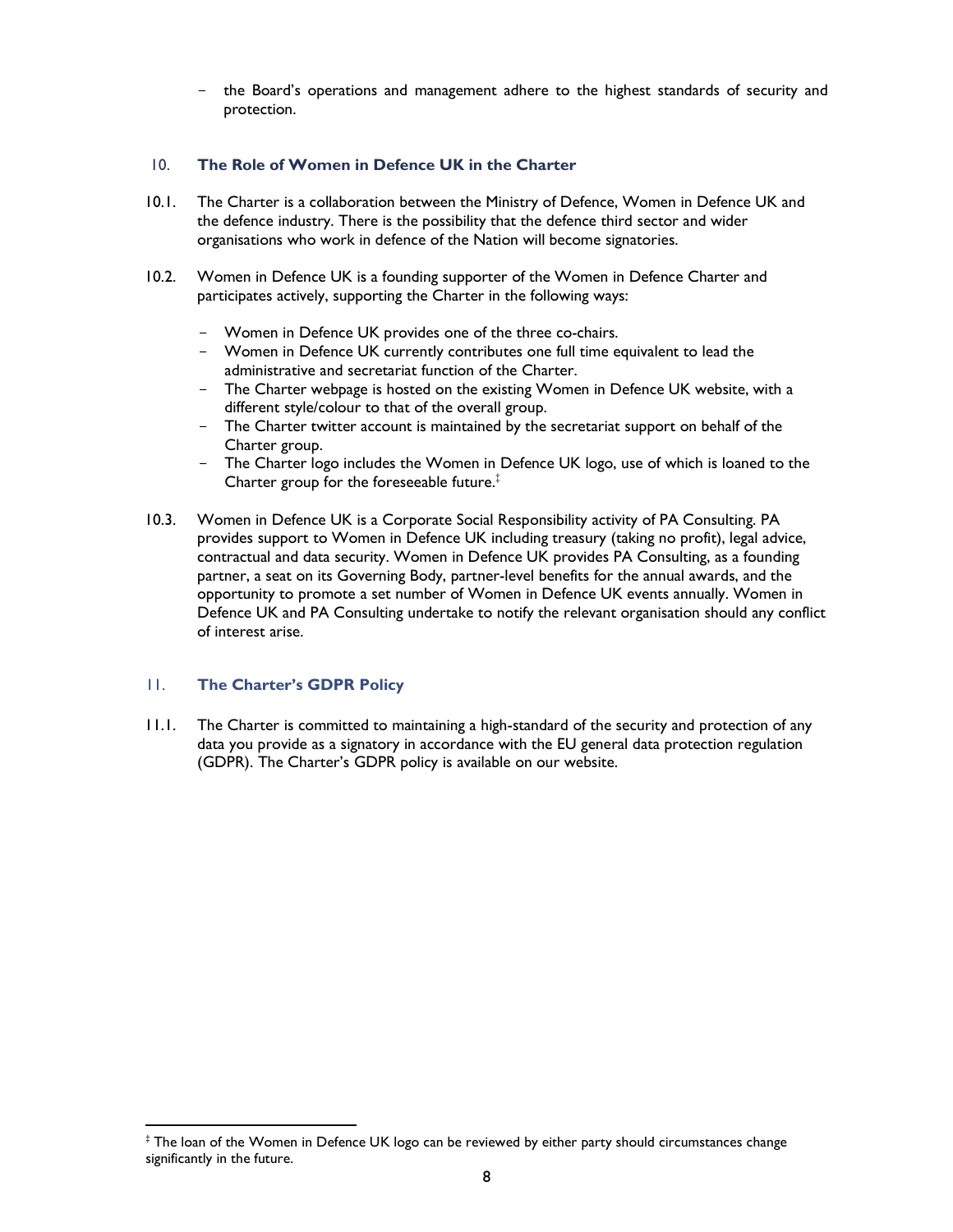the Board's operations and management adhere to the highest standards of security and protection.

#### 10. The Role of Women in Defence UK in the Charter

- 10.1. The Charter is a collaboration between the Ministry of Defence, Women in Defence UK and the defence industry. There is the possibility that the defence third sector and wider organisations who work in defence of the Nation will become signatories.
- 10.2. Women in Defence UK is a founding supporter of the Women in Defence Charter and participates actively, supporting the Charter in the following ways:
	- Women in Defence UK provides one of the three co-chairs.
	- Women in Defence UK currently contributes one full time equivalent to lead the administrative and secretariat function of the Charter.
	- The Charter webpage is hosted on the existing Women in Defence UK website, with a different style/colour to that of the overall group.
	- The Charter twitter account is maintained by the secretariat support on behalf of the Charter group.
	- The Charter logo includes the Women in Defence UK logo, use of which is loaned to the Charter group for the foreseeable future.<sup>‡</sup>
- 10.3. Women in Defence UK is a Corporate Social Responsibility activity of PA Consulting. PA provides support to Women in Defence UK including treasury (taking no profit), legal advice, contractual and data security. Women in Defence UK provides PA Consulting, as a founding partner, a seat on its Governing Body, partner-level benefits for the annual awards, and the opportunity to promote a set number of Women in Defence UK events annually. Women in Defence UK and PA Consulting undertake to notify the relevant organisation should any conflict of interest arise.

### 11. The Charter's GDPR Policy

1

11.1. The Charter is committed to maintaining a high-standard of the security and protection of any data you provide as a signatory in accordance with the EU general data protection regulation (GDPR). The Charter's GDPR policy is available on our website.

<sup>‡</sup> The loan of the Women in Defence UK logo can be reviewed by either party should circumstances change significantly in the future.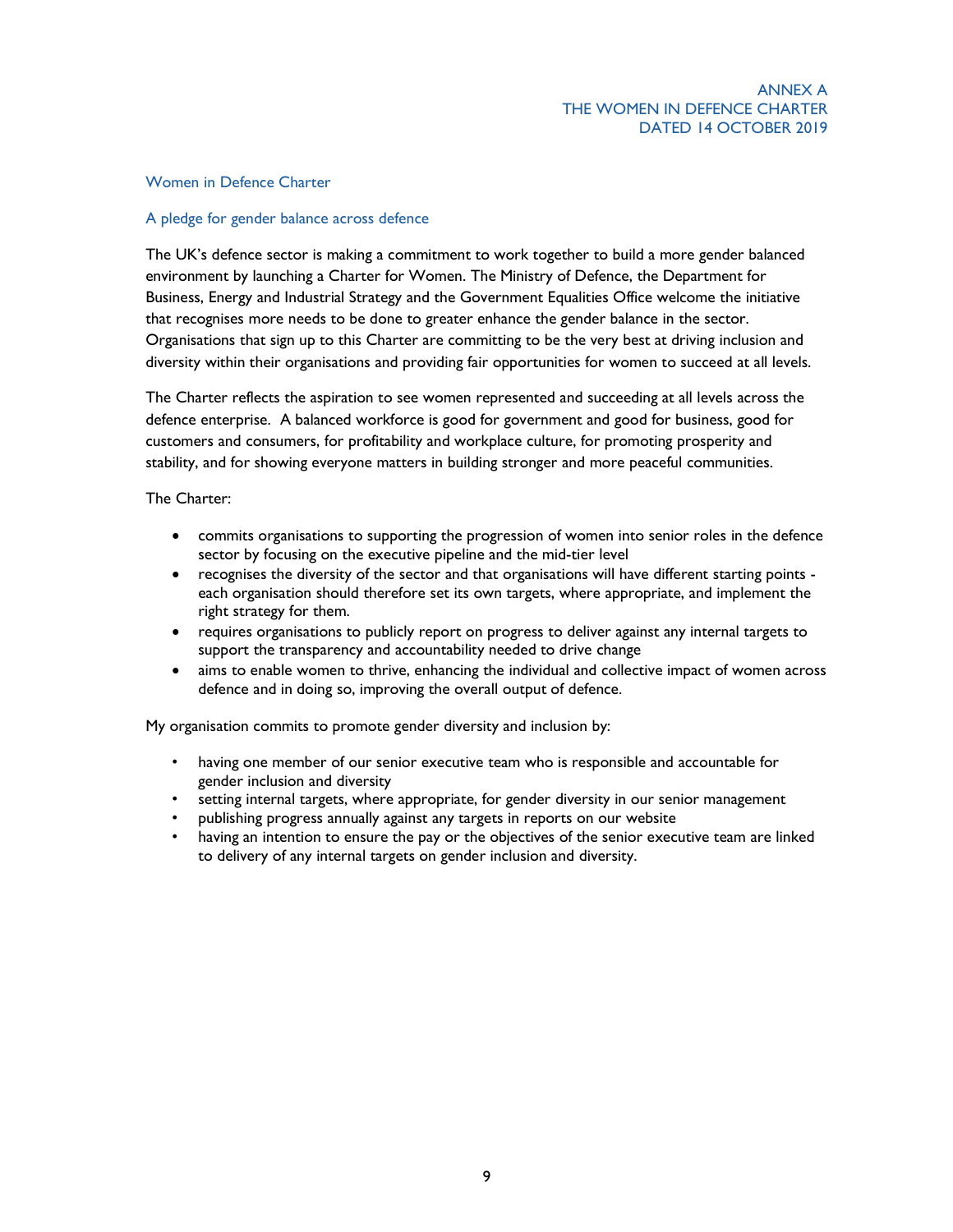#### Women in Defence Charter

#### A pledge for gender balance across defence

The UK's defence sector is making a commitment to work together to build a more gender balanced environment by launching a Charter for Women. The Ministry of Defence, the Department for Business, Energy and Industrial Strategy and the Government Equalities Office welcome the initiative that recognises more needs to be done to greater enhance the gender balance in the sector. Organisations that sign up to this Charter are committing to be the very best at driving inclusion and diversity within their organisations and providing fair opportunities for women to succeed at all levels.

The Charter reflects the aspiration to see women represented and succeeding at all levels across the defence enterprise. A balanced workforce is good for government and good for business, good for customers and consumers, for profitability and workplace culture, for promoting prosperity and stability, and for showing everyone matters in building stronger and more peaceful communities.

The Charter:

- commits organisations to supporting the progression of women into senior roles in the defence sector by focusing on the executive pipeline and the mid-tier level
- recognises the diversity of the sector and that organisations will have different starting points each organisation should therefore set its own targets, where appropriate, and implement the right strategy for them.
- requires organisations to publicly report on progress to deliver against any internal targets to support the transparency and accountability needed to drive change
- aims to enable women to thrive, enhancing the individual and collective impact of women across defence and in doing so, improving the overall output of defence.

My organisation commits to promote gender diversity and inclusion by:

- having one member of our senior executive team who is responsible and accountable for gender inclusion and diversity
- setting internal targets, where appropriate, for gender diversity in our senior management
- publishing progress annually against any targets in reports on our website
- having an intention to ensure the pay or the objectives of the senior executive team are linked to delivery of any internal targets on gender inclusion and diversity.